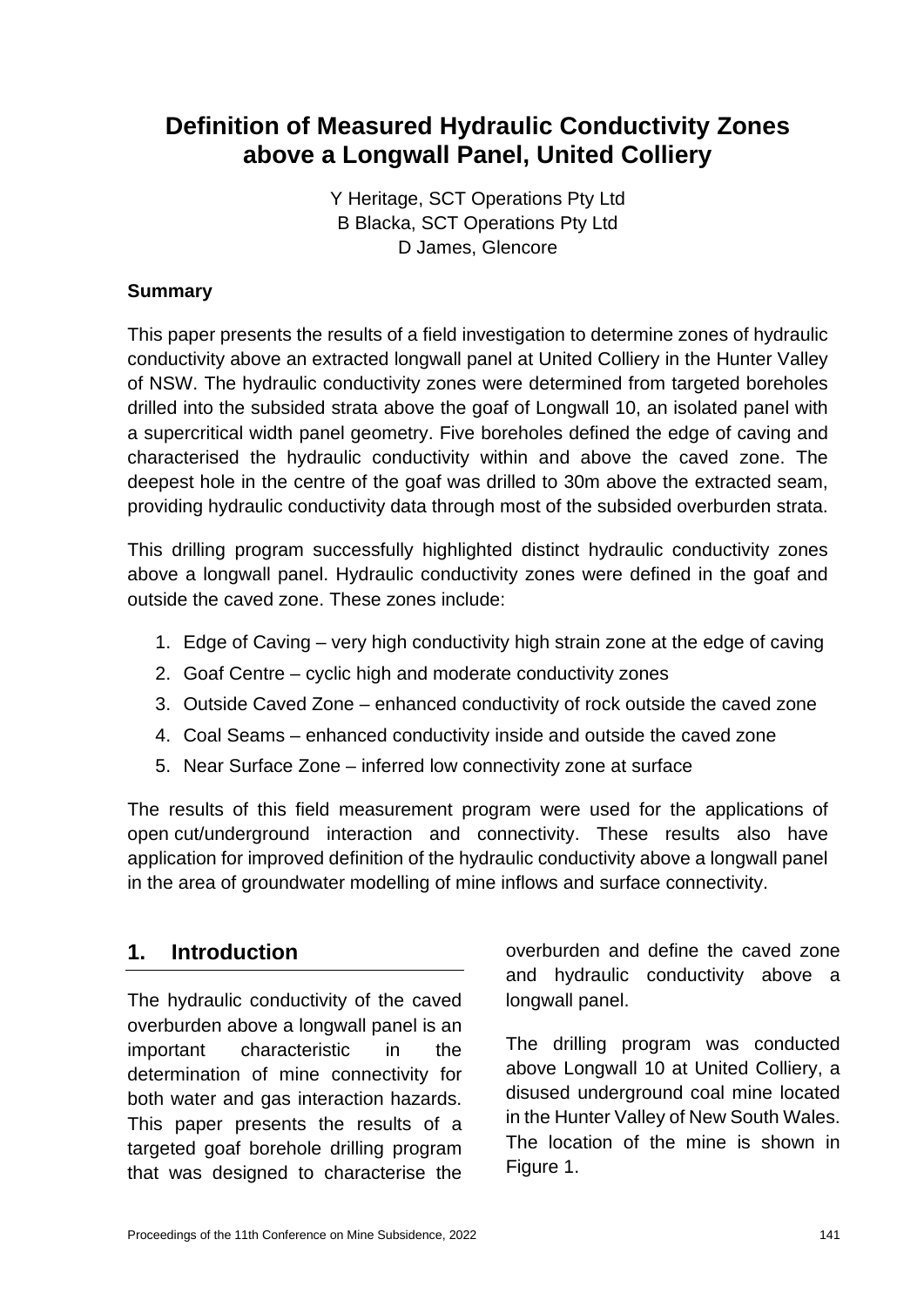# **Definition of Measured Hydraulic Conductivity Zones above a Longwall Panel, United Colliery**

Y Heritage, SCT Operations Pty Ltd B Blacka, SCT Operations Pty Ltd D James, Glencore

#### **Summary**

This paper presents the results of a field investigation to determine zones of hydraulic conductivity above an extracted longwall panel at United Colliery in the Hunter Valley of NSW. The hydraulic conductivity zones were determined from targeted boreholes drilled into the subsided strata above the goaf of Longwall 10, an isolated panel with a supercritical width panel geometry. Five boreholes defined the edge of caving and characterised the hydraulic conductivity within and above the caved zone. The deepest hole in the centre of the goaf was drilled to 30m above the extracted seam, providing hydraulic conductivity data through most of the subsided overburden strata.

This drilling program successfully highlighted distinct hydraulic conductivity zones above a longwall panel. Hydraulic conductivity zones were defined in the goaf and outside the caved zone. These zones include:

- 1. Edge of Caving very high conductivity high strain zone at the edge of caving
- 2. Goaf Centre cyclic high and moderate conductivity zones
- 3. Outside Caved Zone enhanced conductivity of rock outside the caved zone
- 4. Coal Seams enhanced conductivity inside and outside the caved zone
- 5. Near Surface Zone inferred low connectivity zone at surface

The results of this field measurement program were used for the applications of open cut/underground interaction and connectivity. These results also have application for improved definition of the hydraulic conductivity above a longwall panel in the area of groundwater modelling of mine inflows and surface connectivity.

# **1. Introduction**

The hydraulic conductivity of the caved overburden above a longwall panel is an important characteristic in the determination of mine connectivity for both water and gas interaction hazards. This paper presents the results of a targeted goaf borehole drilling program that was designed to characterise the

overburden and define the caved zone and hydraulic conductivity above a longwall panel.

The drilling program was conducted above Longwall 10 at United Colliery, a disused underground coal mine located in the Hunter Valley of New South Wales. The location of the mine is shown in Figure 1.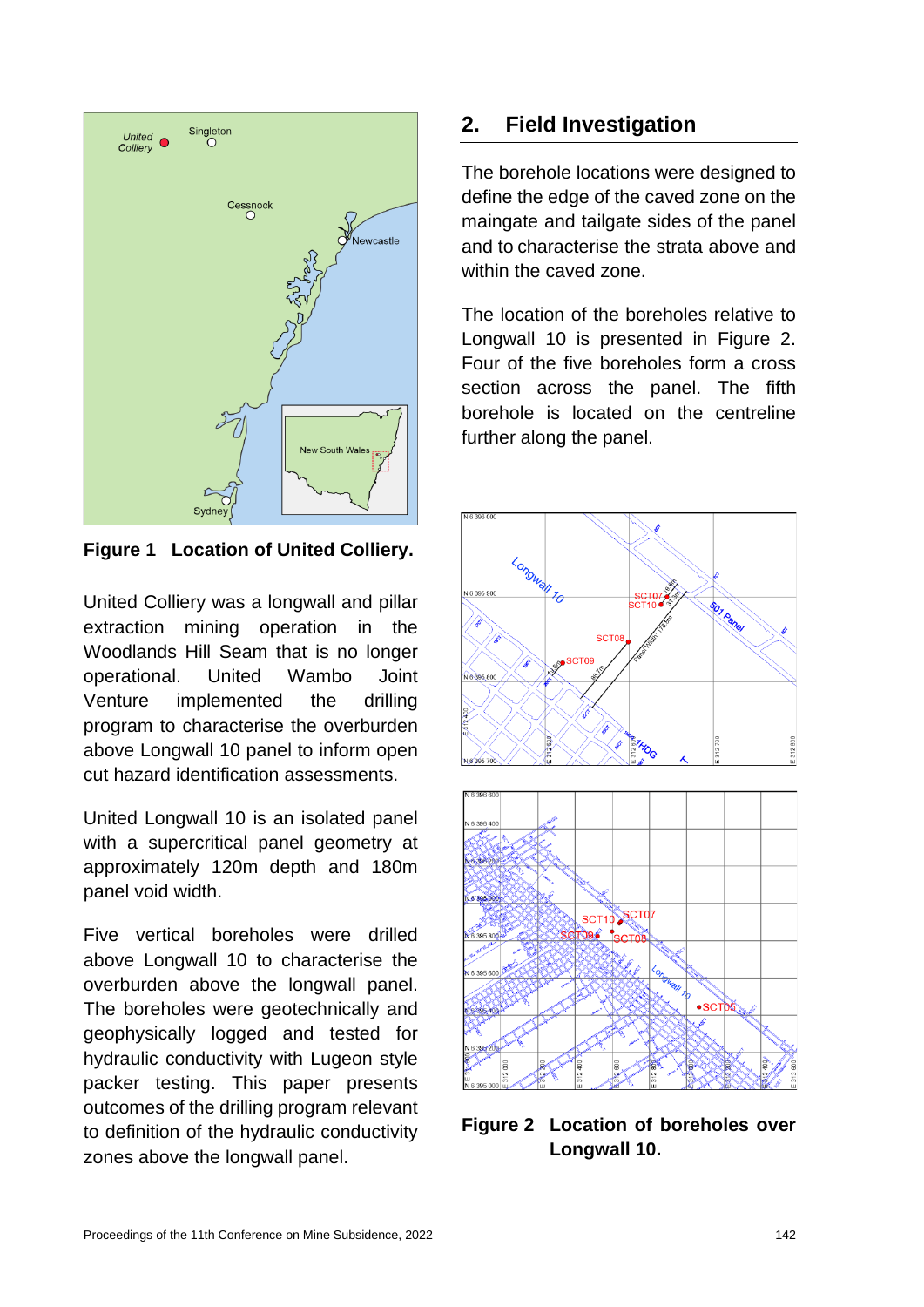

**Figure 1 Location of United Colliery.**

United Colliery was a longwall and pillar extraction mining operation in the Woodlands Hill Seam that is no longer operational. United Wambo Joint Venture implemented the drilling program to characterise the overburden above Longwall 10 panel to inform open cut hazard identification assessments.

United Longwall 10 is an isolated panel with a supercritical panel geometry at approximately 120m depth and 180m panel void width.

Five vertical boreholes were drilled above Longwall 10 to characterise the overburden above the longwall panel. The boreholes were geotechnically and geophysically logged and tested for hydraulic conductivity with Lugeon style packer testing. This paper presents outcomes of the drilling program relevant to definition of the hydraulic conductivity zones above the longwall panel.

# **2. Field Investigation**

The borehole locations were designed to define the edge of the caved zone on the maingate and tailgate sides of the panel and to characterise the strata above and within the caved zone.

The location of the boreholes relative to Longwall 10 is presented in Figure 2. Four of the five boreholes form a cross section across the panel. The fifth borehole is located on the centreline further along the panel.



**Figure 2 Location of boreholes over Longwall 10.**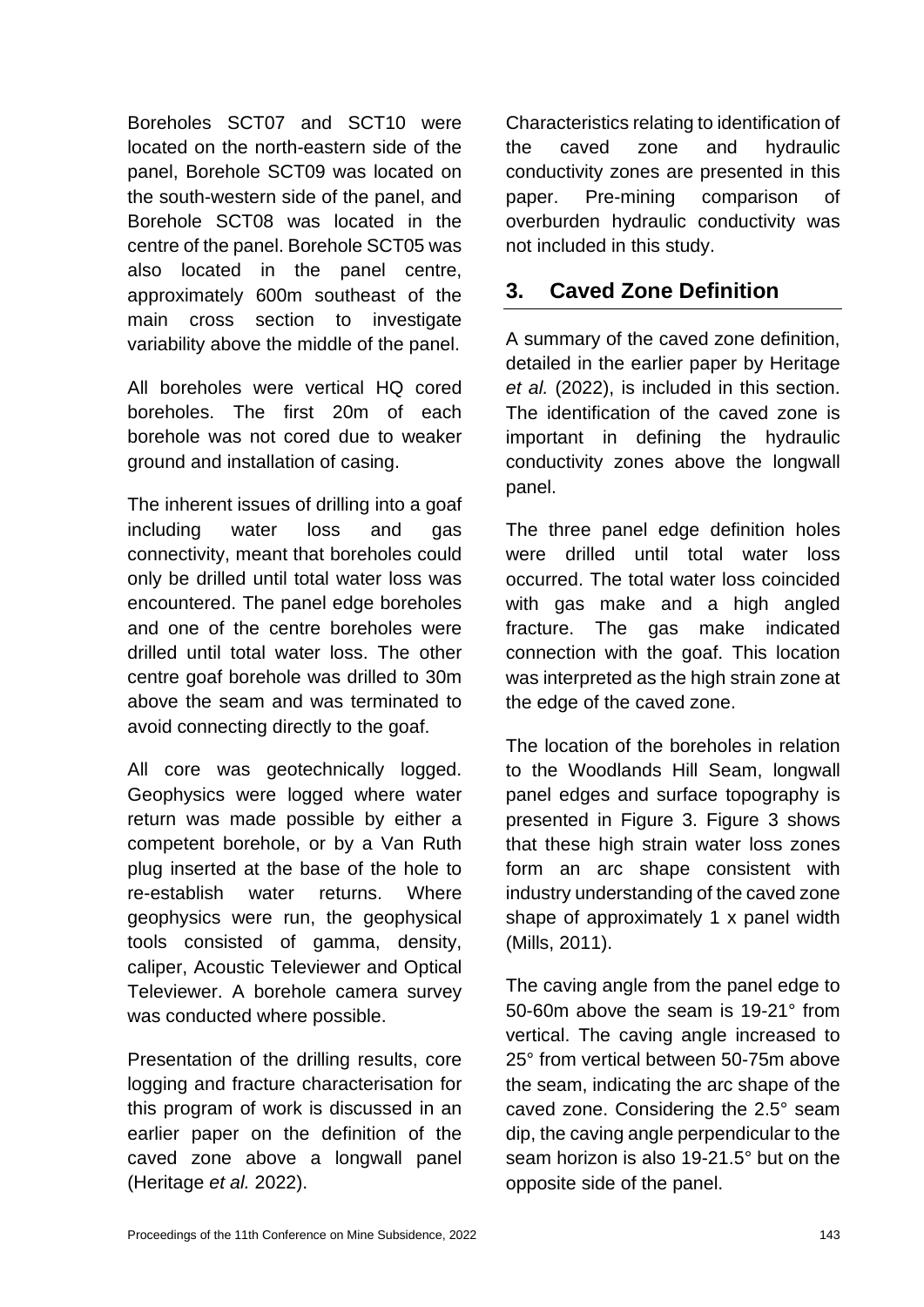Boreholes SCT07 and SCT10 were located on the north-eastern side of the panel, Borehole SCT09 was located on the south-western side of the panel, and Borehole SCT08 was located in the centre of the panel. Borehole SCT05 was also located in the panel centre, approximately 600m southeast of the main cross section to investigate variability above the middle of the panel.

All boreholes were vertical HQ cored boreholes. The first 20m of each borehole was not cored due to weaker ground and installation of casing.

The inherent issues of drilling into a goaf including water loss and gas connectivity, meant that boreholes could only be drilled until total water loss was encountered. The panel edge boreholes and one of the centre boreholes were drilled until total water loss. The other centre goaf borehole was drilled to 30m above the seam and was terminated to avoid connecting directly to the goaf.

All core was geotechnically logged. Geophysics were logged where water return was made possible by either a competent borehole, or by a Van Ruth plug inserted at the base of the hole to re-establish water returns. Where geophysics were run, the geophysical tools consisted of gamma, density, caliper, Acoustic Televiewer and Optical Televiewer. A borehole camera survey was conducted where possible.

Presentation of the drilling results, core logging and fracture characterisation for this program of work is discussed in an earlier paper on the definition of the caved zone above a longwall panel (Heritage *et al.* 2022).

Characteristics relating to identification of the caved zone and hydraulic conductivity zones are presented in this paper. Pre-mining comparison of overburden hydraulic conductivity was not included in this study.

### **3. Caved Zone Definition**

A summary of the caved zone definition, detailed in the earlier paper by Heritage *et al.* (2022), is included in this section. The identification of the caved zone is important in defining the hydraulic conductivity zones above the longwall panel.

The three panel edge definition holes were drilled until total water loss occurred. The total water loss coincided with gas make and a high angled fracture. The gas make indicated connection with the goaf. This location was interpreted as the high strain zone at the edge of the caved zone.

The location of the boreholes in relation to the Woodlands Hill Seam, longwall panel edges and surface topography is presented in Figure 3. Figure 3 shows that these high strain water loss zones form an arc shape consistent with industry understanding of the caved zone shape of approximately 1 x panel width (Mills, 2011).

The caving angle from the panel edge to 50-60m above the seam is 19-21° from vertical. The caving angle increased to 25° from vertical between 50-75m above the seam, indicating the arc shape of the caved zone. Considering the 2.5° seam dip, the caving angle perpendicular to the seam horizon is also 19-21.5° but on the opposite side of the panel.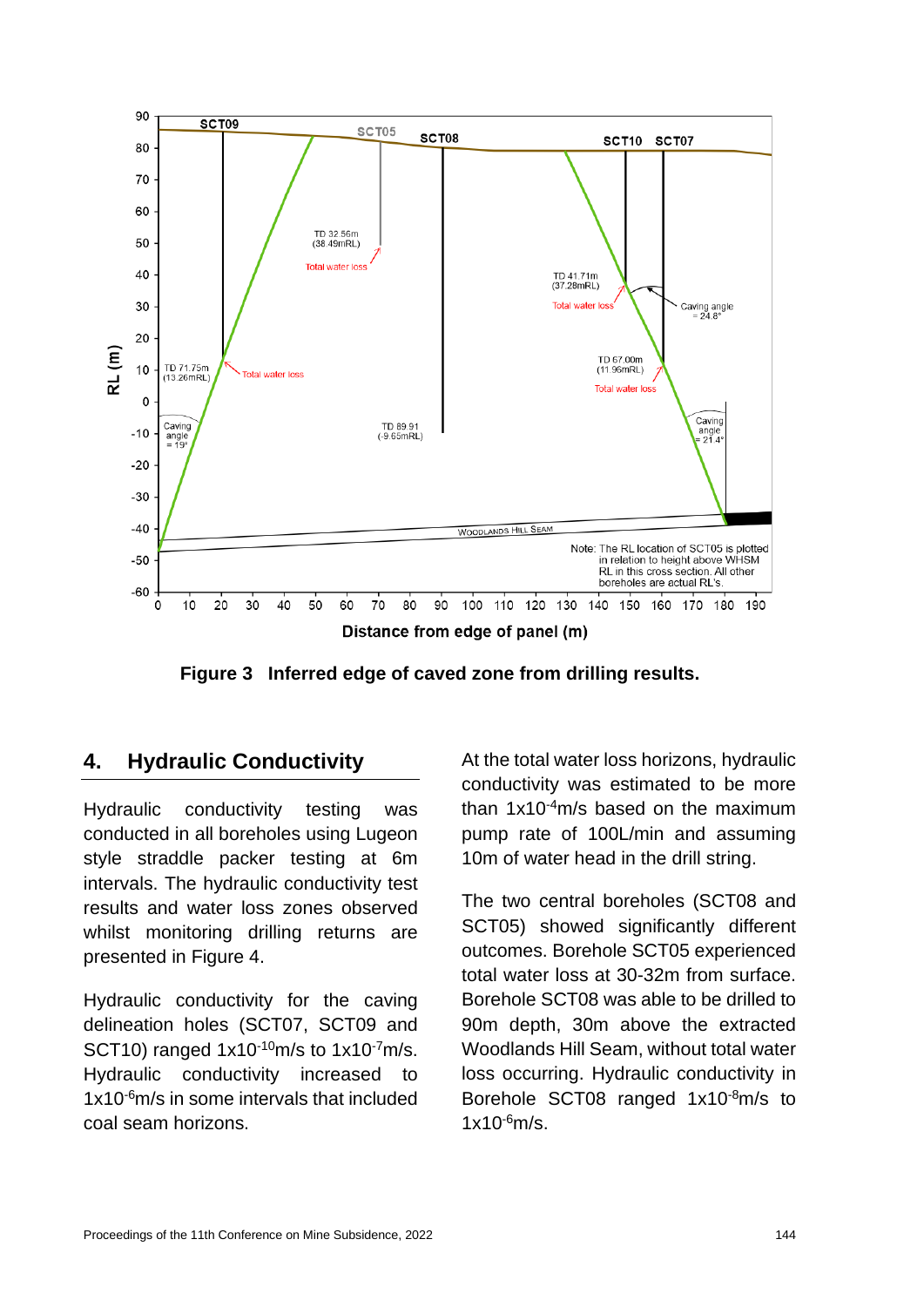

**Figure 3 Inferred edge of caved zone from drilling results.**

# **4. Hydraulic Conductivity**

Hydraulic conductivity testing was conducted in all boreholes using Lugeon style straddle packer testing at 6m intervals. The hydraulic conductivity test results and water loss zones observed whilst monitoring drilling returns are presented in Figure 4.

Hydraulic conductivity for the caving delineation holes (SCT07, SCT09 and SCT10) ranged  $1x10^{-10}$ m/s to  $1x10^{-7}$ m/s. Hydraulic conductivity increased to 1x10-6m/s in some intervals that included coal seam horizons.

At the total water loss horizons, hydraulic conductivity was estimated to be more than 1x10-4m/s based on the maximum pump rate of 100L/min and assuming 10m of water head in the drill string.

The two central boreholes (SCT08 and SCT05) showed significantly different outcomes. Borehole SCT05 experienced total water loss at 30-32m from surface. Borehole SCT08 was able to be drilled to 90m depth, 30m above the extracted Woodlands Hill Seam, without total water loss occurring. Hydraulic conductivity in Borehole SCT08 ranged 1x10-8m/s to  $1x10^{-6}$ m/s.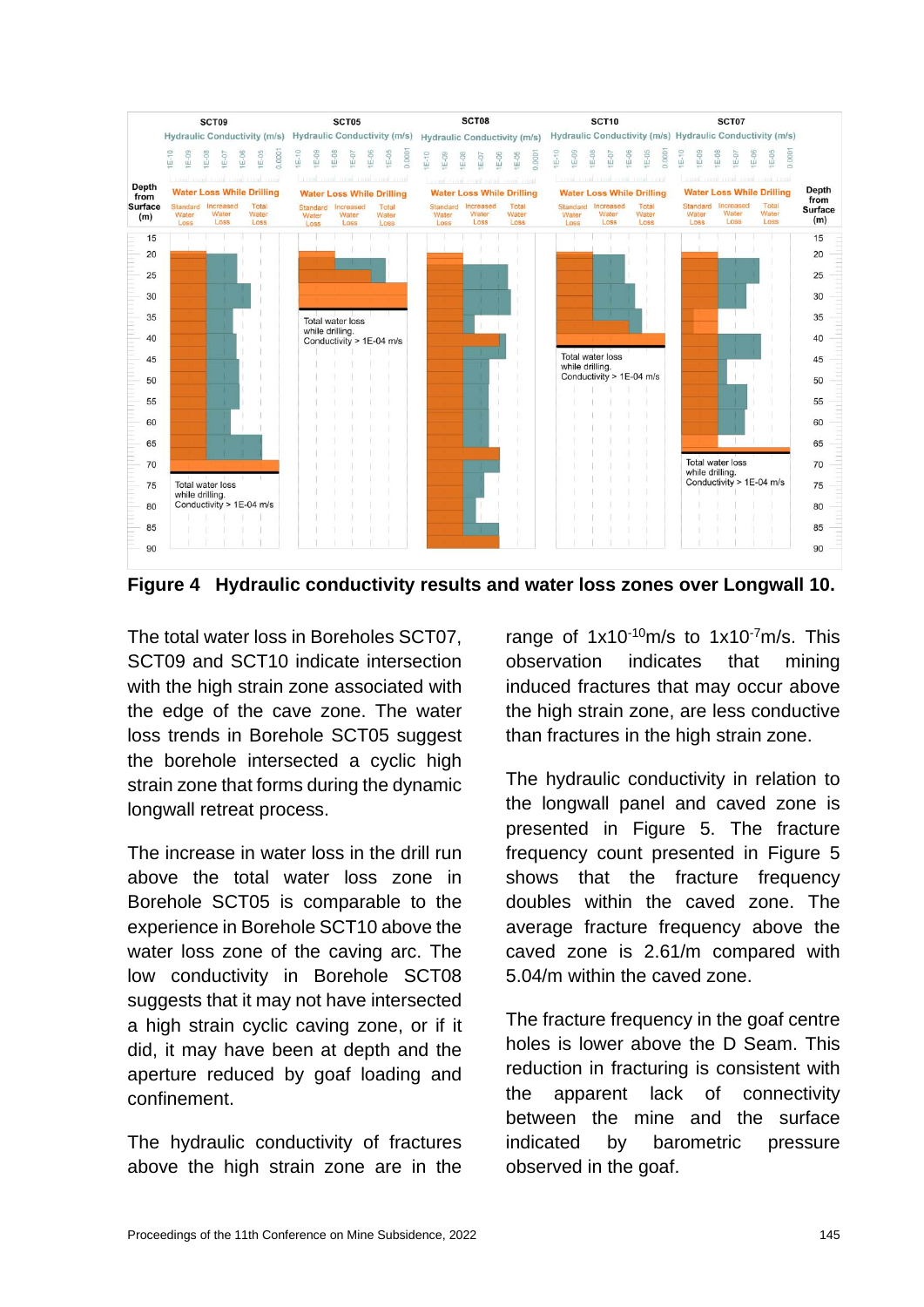

**Figure 4 Hydraulic conductivity results and water loss zones over Longwall 10.**

The total water loss in Boreholes SCT07, SCT09 and SCT10 indicate intersection with the high strain zone associated with the edge of the cave zone. The water loss trends in Borehole SCT05 suggest the borehole intersected a cyclic high strain zone that forms during the dynamic longwall retreat process.

The increase in water loss in the drill run above the total water loss zone in Borehole SCT05 is comparable to the experience in Borehole SCT10 above the water loss zone of the caving arc. The low conductivity in Borehole SCT08 suggests that it may not have intersected a high strain cyclic caving zone, or if it did, it may have been at depth and the aperture reduced by goaf loading and confinement.

The hydraulic conductivity of fractures above the high strain zone are in the

range of 1x10<sup>-10</sup>m/s to 1x10<sup>-7</sup>m/s. This observation indicates that mining induced fractures that may occur above the high strain zone, are less conductive than fractures in the high strain zone.

The hydraulic conductivity in relation to the longwall panel and caved zone is presented in Figure 5. The fracture frequency count presented in Figure 5 shows that the fracture frequency doubles within the caved zone. The average fracture frequency above the caved zone is 2.61/m compared with 5.04/m within the caved zone.

The fracture frequency in the goaf centre holes is lower above the D Seam. This reduction in fracturing is consistent with the apparent lack of connectivity between the mine and the surface indicated by barometric pressure observed in the goaf.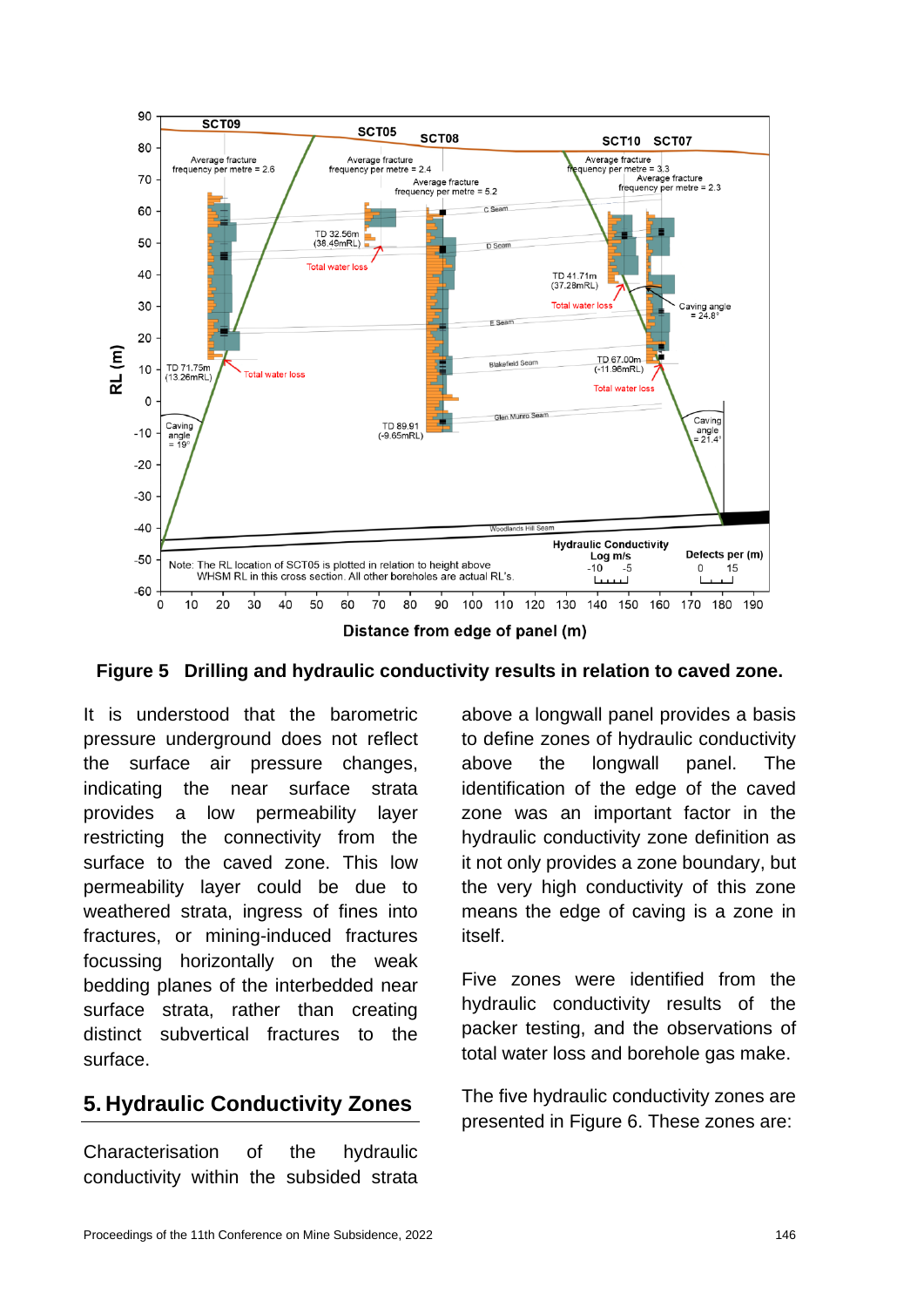



It is understood that the barometric pressure underground does not reflect the surface air pressure changes, indicating the near surface strata provides a low permeability layer restricting the connectivity from the surface to the caved zone. This low permeability layer could be due to weathered strata, ingress of fines into fractures, or mining-induced fractures focussing horizontally on the weak bedding planes of the interbedded near surface strata, rather than creating distinct subvertical fractures to the surface.

# **5. Hydraulic Conductivity Zones**

Characterisation of the hydraulic conductivity within the subsided strata

above a longwall panel provides a basis to define zones of hydraulic conductivity above the longwall panel. The identification of the edge of the caved zone was an important factor in the hydraulic conductivity zone definition as it not only provides a zone boundary, but the very high conductivity of this zone means the edge of caving is a zone in itself.

Five zones were identified from the hydraulic conductivity results of the packer testing, and the observations of total water loss and borehole gas make.

The five hydraulic conductivity zones are presented in Figure 6. These zones are: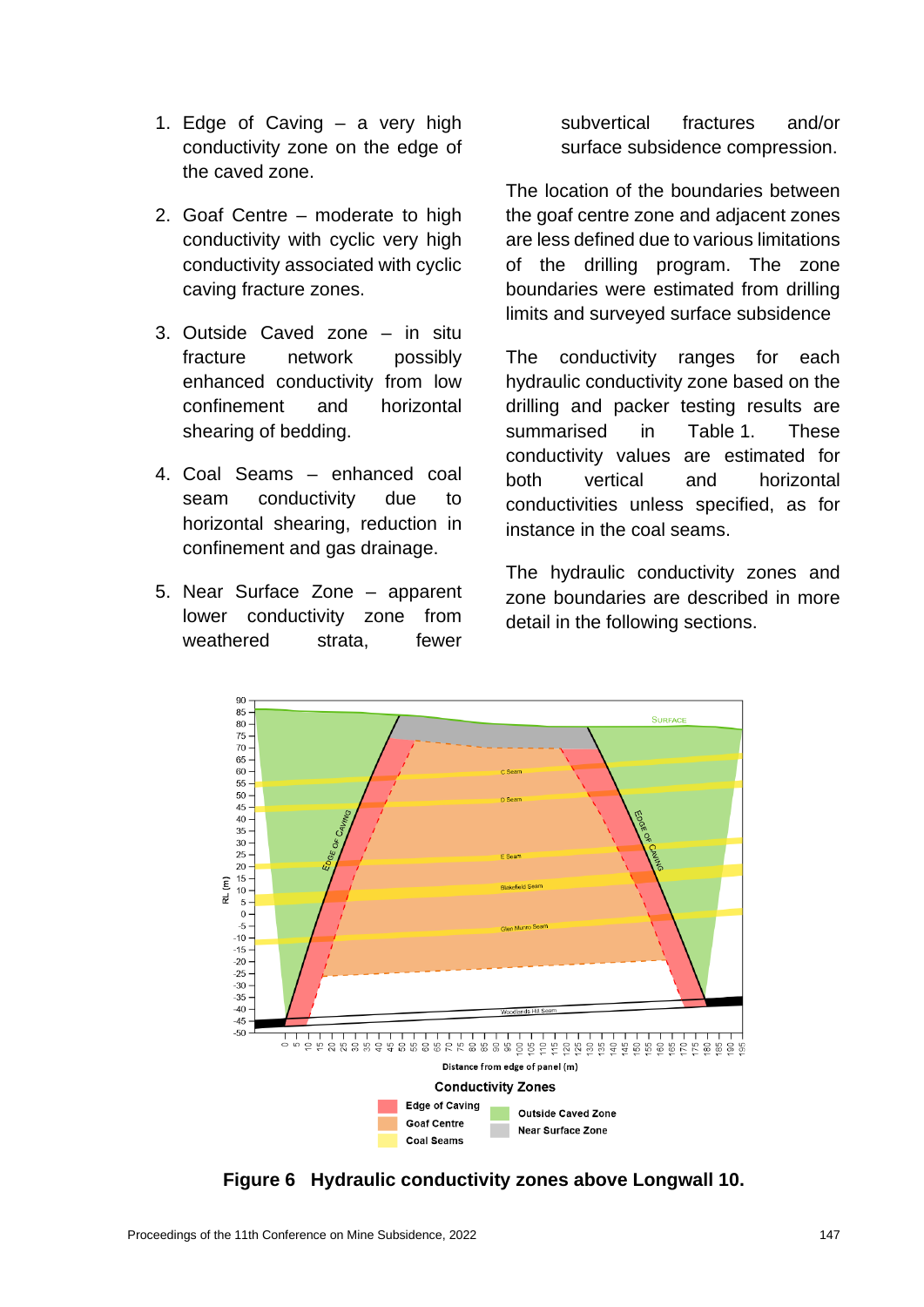- 1. Edge of Caving a very high conductivity zone on the edge of the caved zone.
- 2. Goaf Centre moderate to high conductivity with cyclic very high conductivity associated with cyclic caving fracture zones.
- 3. Outside Caved zone in situ fracture network possibly enhanced conductivity from low confinement and horizontal shearing of bedding.
- 4. Coal Seams enhanced coal seam conductivity due to horizontal shearing, reduction in confinement and gas drainage.
- 5. Near Surface Zone apparent lower conductivity zone from weathered strata, fewer

subvertical fractures and/or surface subsidence compression.

The location of the boundaries between the goaf centre zone and adjacent zones are less defined due to various limitations of the drilling program. The zone boundaries were estimated from drilling limits and surveyed surface subsidence

The conductivity ranges for each hydraulic conductivity zone based on the drilling and packer testing results are summarised in Table 1. These conductivity values are estimated for both vertical and horizontal conductivities unless specified, as for instance in the coal seams.

The hydraulic conductivity zones and zone boundaries are described in more detail in the following sections.



**Figure 6 Hydraulic conductivity zones above Longwall 10.**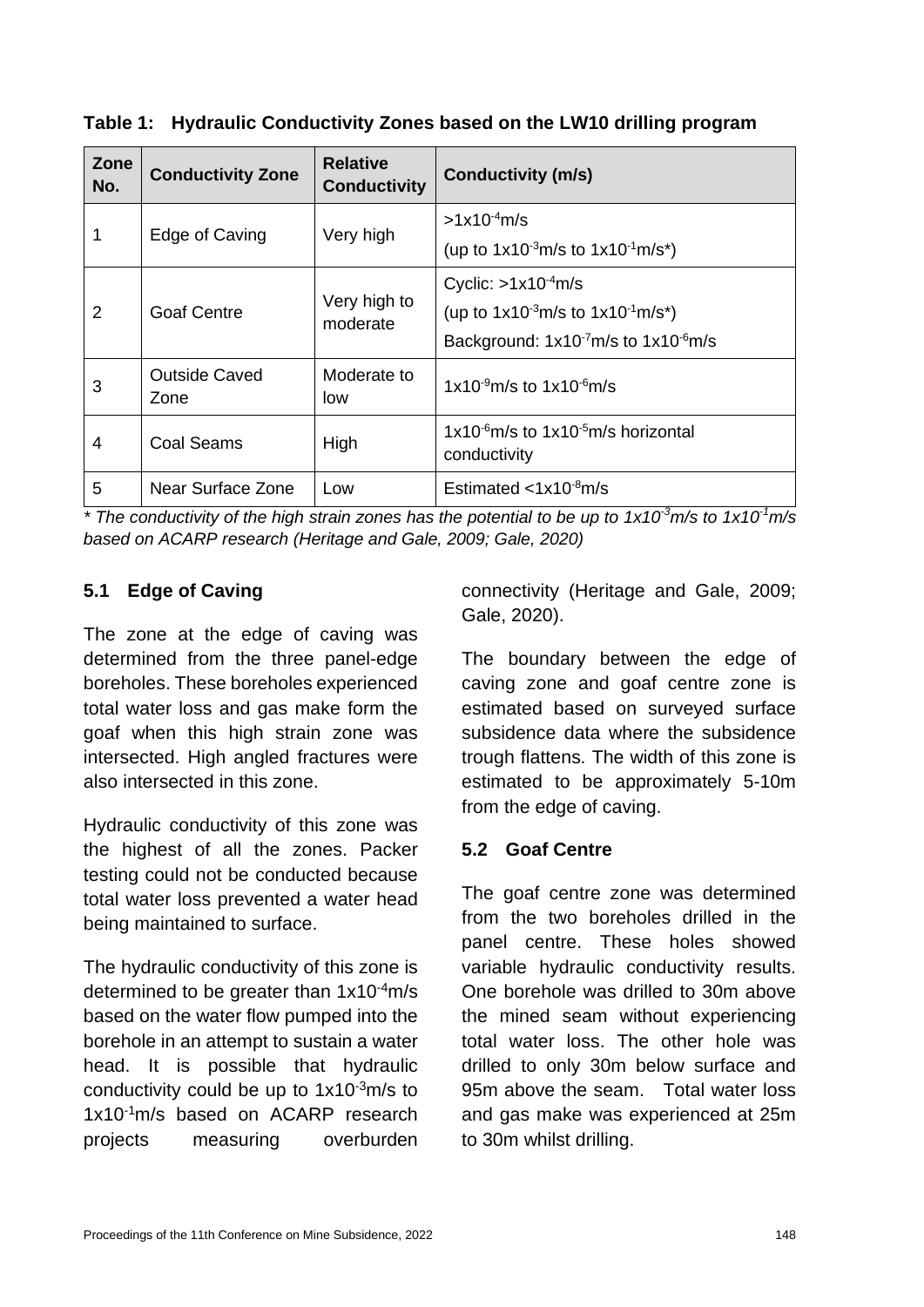| Zone<br>No. | <b>Conductivity Zone</b>     | <b>Relative</b><br><b>Conductivity</b> | <b>Conductivity (m/s)</b>                                     |
|-------------|------------------------------|----------------------------------------|---------------------------------------------------------------|
|             | Edge of Caving               | Very high                              | $>1x10^{-4}$ m/s                                              |
|             |                              |                                        | (up to $1x10^{-3}$ m/s to $1x10^{-1}$ m/s <sup>*</sup> )      |
| 2           | <b>Goaf Centre</b>           | Very high to<br>moderate               | Cyclic: $>1x10^{-4}$ m/s                                      |
|             |                              |                                        | (up to $1x10^{-3}$ m/s to $1x10^{-1}$ m/s <sup>*</sup> )      |
|             |                              |                                        | Background: $1x10^{-7}$ m/s to $1x10^{-6}$ m/s                |
| 3           | <b>Outside Caved</b><br>Zone | Moderate to<br>low                     | $1x10^{-9}$ m/s to $1x10^{-6}$ m/s                            |
| 4           | <b>Coal Seams</b>            | High                                   | $1x10^{-6}$ m/s to $1x10^{-5}$ m/s horizontal<br>conductivity |
| 5           | Near Surface Zone            | Low                                    | Estimated $\langle 1x10^{-8}$ m/s                             |

**Table 1: Hydraulic Conductivity Zones based on the LW10 drilling program** 

*\** The conductivity of the high strain zones has the potential to be up to 1x10<sup>3</sup>m/s to 1x10<sup>-1</sup>m/s *based on ACARP research (Heritage and Gale, 2009; Gale, 2020)*

#### **5.1 Edge of Caving**

The zone at the edge of caving was determined from the three panel-edge boreholes. These boreholes experienced total water loss and gas make form the goaf when this high strain zone was intersected. High angled fractures were also intersected in this zone.

Hydraulic conductivity of this zone was the highest of all the zones. Packer testing could not be conducted because total water loss prevented a water head being maintained to surface.

The hydraulic conductivity of this zone is determined to be greater than 1x10-4m/s based on the water flow pumped into the borehole in an attempt to sustain a water head. It is possible that hydraulic conductivity could be up to  $1x10^{-3}$ m/s to 1x10-1m/s based on ACARP research projects measuring overburden connectivity (Heritage and Gale, 2009; Gale, 2020).

The boundary between the edge of caving zone and goaf centre zone is estimated based on surveyed surface subsidence data where the subsidence trough flattens. The width of this zone is estimated to be approximately 5-10m from the edge of caving.

#### **5.2 Goaf Centre**

The goaf centre zone was determined from the two boreholes drilled in the panel centre. These holes showed variable hydraulic conductivity results. One borehole was drilled to 30m above the mined seam without experiencing total water loss. The other hole was drilled to only 30m below surface and 95m above the seam. Total water loss and gas make was experienced at 25m to 30m whilst drilling.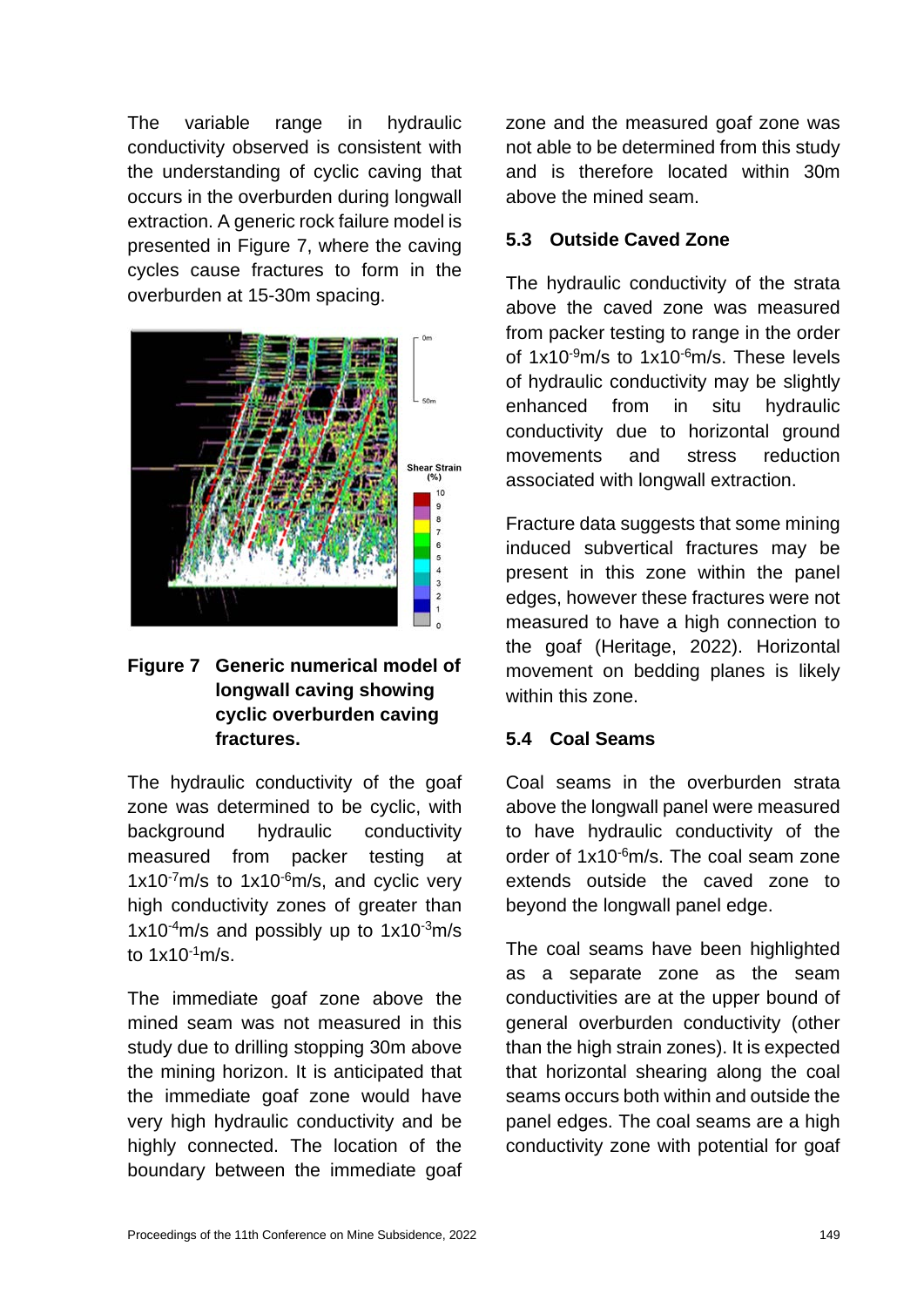The variable range in hydraulic conductivity observed is consistent with the understanding of cyclic caving that occurs in the overburden during longwall extraction. A generic rock failure model is presented in Figure 7, where the caving cycles cause fractures to form in the overburden at 15-30m spacing.



#### **Figure 7 Generic numerical model of longwall caving showing cyclic overburden caving fractures.**

The hydraulic conductivity of the goaf zone was determined to be cyclic, with background hydraulic conductivity measured from packer testing at  $1x10^{-7}$ m/s to  $1x10^{-6}$ m/s, and cyclic very high conductivity zones of greater than 1x10 $-4$ m/s and possibly up to  $1x10^{-3}$ m/s to  $1x10^{-1}$  m/s.

The immediate goaf zone above the mined seam was not measured in this study due to drilling stopping 30m above the mining horizon. It is anticipated that the immediate goaf zone would have very high hydraulic conductivity and be highly connected. The location of the boundary between the immediate goaf

zone and the measured goaf zone was not able to be determined from this study and is therefore located within 30m above the mined seam.

### **5.3 Outside Caved Zone**

The hydraulic conductivity of the strata above the caved zone was measured from packer testing to range in the order of  $1x10^{-9}$ m/s to  $1x10^{-6}$ m/s. These levels of hydraulic conductivity may be slightly enhanced from in situ hydraulic conductivity due to horizontal ground movements and stress reduction associated with longwall extraction.

Fracture data suggests that some mining induced subvertical fractures may be present in this zone within the panel edges, however these fractures were not measured to have a high connection to the goaf (Heritage, 2022). Horizontal movement on bedding planes is likely within this zone.

### **5.4 Coal Seams**

Coal seams in the overburden strata above the longwall panel were measured to have hydraulic conductivity of the order of 1x10-6m/s. The coal seam zone extends outside the caved zone to beyond the longwall panel edge.

The coal seams have been highlighted as a separate zone as the seam conductivities are at the upper bound of general overburden conductivity (other than the high strain zones). It is expected that horizontal shearing along the coal seams occurs both within and outside the panel edges. The coal seams are a high conductivity zone with potential for goaf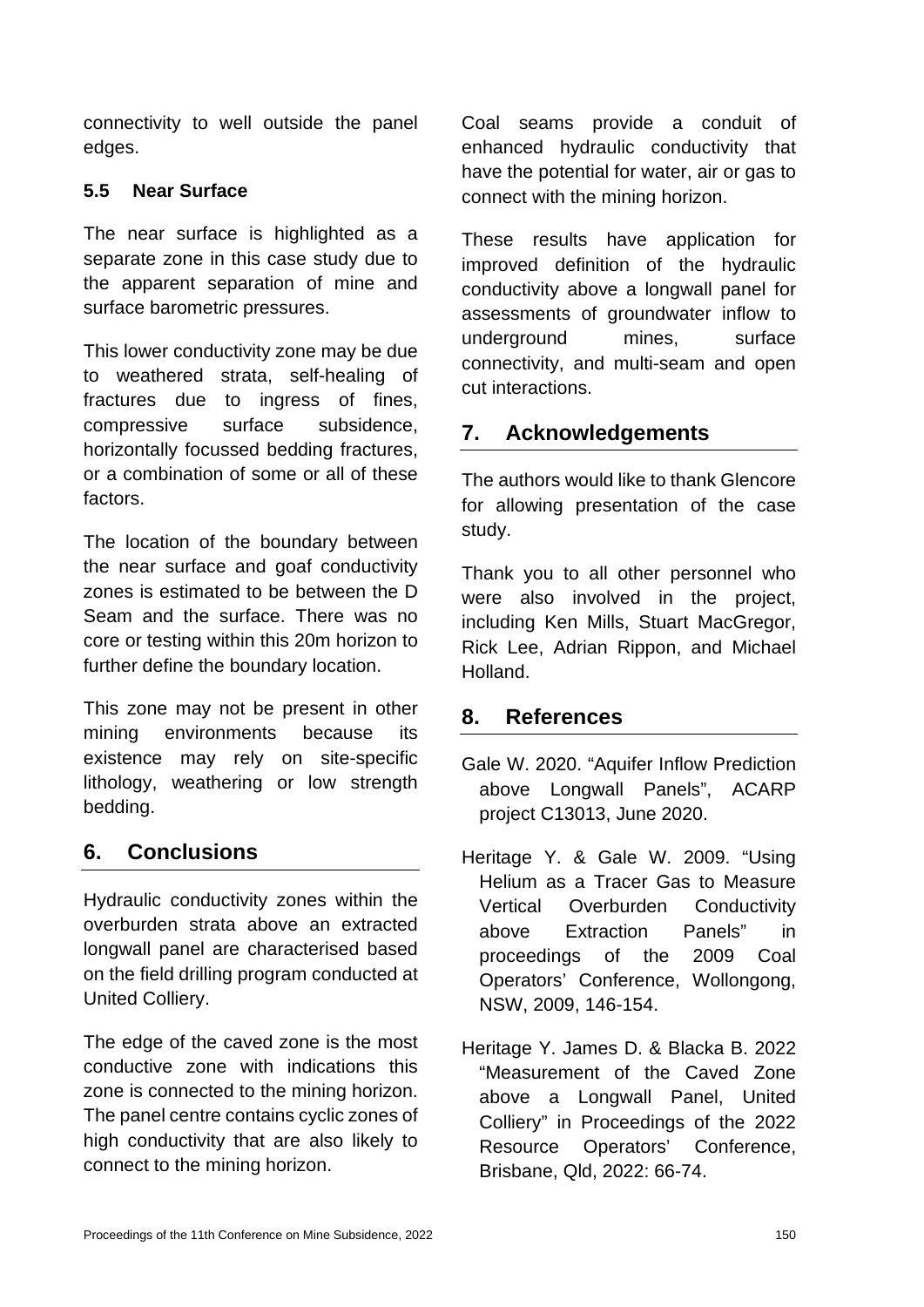connectivity to well outside the panel edges.

#### **5.5 Near Surface**

The near surface is highlighted as a separate zone in this case study due to the apparent separation of mine and surface barometric pressures.

This lower conductivity zone may be due to weathered strata, self-healing of fractures due to ingress of fines, compressive surface subsidence, horizontally focussed bedding fractures, or a combination of some or all of these factors.

The location of the boundary between the near surface and goaf conductivity zones is estimated to be between the D Seam and the surface. There was no core or testing within this 20m horizon to further define the boundary location.

This zone may not be present in other mining environments because its existence may rely on site-specific lithology, weathering or low strength bedding.

# **6. Conclusions**

Hydraulic conductivity zones within the overburden strata above an extracted longwall panel are characterised based on the field drilling program conducted at United Colliery.

The edge of the caved zone is the most conductive zone with indications this zone is connected to the mining horizon. The panel centre contains cyclic zones of high conductivity that are also likely to connect to the mining horizon.

Coal seams provide a conduit of enhanced hydraulic conductivity that have the potential for water, air or gas to connect with the mining horizon.

These results have application for improved definition of the hydraulic conductivity above a longwall panel for assessments of groundwater inflow to underground mines, surface connectivity, and multi-seam and open cut interactions.

# **7. Acknowledgements**

The authors would like to thank Glencore for allowing presentation of the case study.

Thank you to all other personnel who were also involved in the project, including Ken Mills, Stuart MacGregor, Rick Lee, Adrian Rippon, and Michael Holland.

# **8. References**

- Gale W. 2020. "Aquifer Inflow Prediction above Longwall Panels", ACARP project C13013, June 2020.
- Heritage Y. & Gale W. 2009. "Using Helium as a Tracer Gas to Measure Vertical Overburden Conductivity above Extraction Panels" in proceedings of the 2009 Coal Operators' Conference, Wollongong, NSW, 2009, 146-154.
- Heritage Y. James D. & Blacka B. 2022 "Measurement of the Caved Zone above a Longwall Panel, United Colliery" in Proceedings of the 2022 Resource Operators' Conference, Brisbane, Qld, 2022: 66-74.